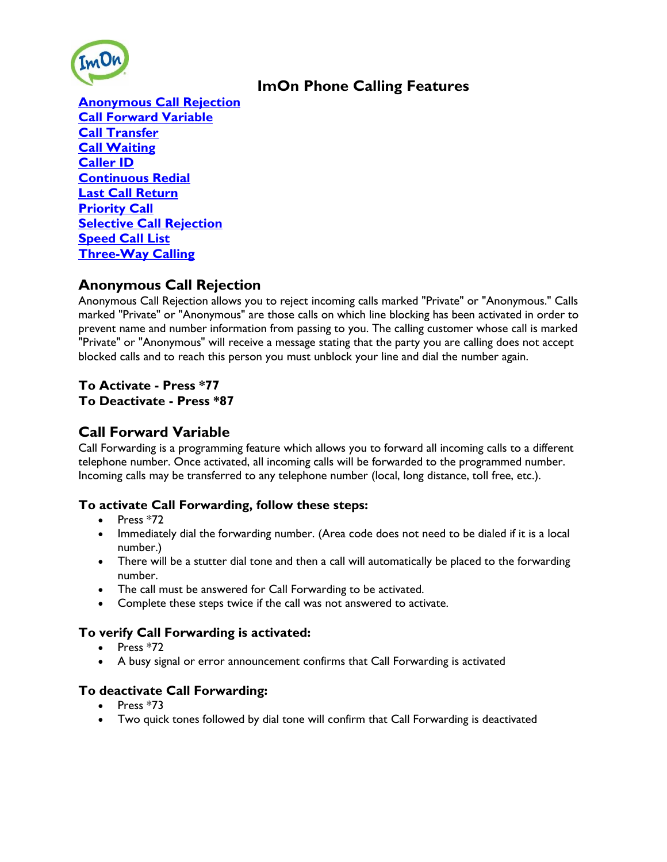

# **ImOn Phone Calling Features**

**[Anonymous Call Rejection](http://www.myimon.com/index.php?cID=134&ctask=check-out&ccm_token=1389192483:901ec668277751e2c8f7bb425d3b2ba4#anonymous) [Call Forward Variable](http://www.myimon.com/index.php?cID=134&ctask=check-out&ccm_token=1389192483:901ec668277751e2c8f7bb425d3b2ba4#forward) [Call Transfer](http://www.myimon.com/index.php?cID=134&ctask=check-out&ccm_token=1389192483:901ec668277751e2c8f7bb425d3b2ba4#transfer) [Call Waiting](http://www.myimon.com/index.php?cID=134&ctask=check-out&ccm_token=1389192483:901ec668277751e2c8f7bb425d3b2ba4#waiting) [Caller ID](http://www.myimon.com/index.php?cID=134&ctask=check-out&ccm_token=1389192483:901ec668277751e2c8f7bb425d3b2ba4#id) [Continuous Redial](http://www.myimon.com/index.php?cID=134&ctask=check-out&ccm_token=1389192483:901ec668277751e2c8f7bb425d3b2ba4#redial) [Last Call Return](http://www.myimon.com/index.php?cID=134&ctask=check-out&ccm_token=1389192483:901ec668277751e2c8f7bb425d3b2ba4#return) [Priority Call](http://www.myimon.com/index.php?cID=134&ctask=check-out&ccm_token=1389192483:901ec668277751e2c8f7bb425d3b2ba4#priority) [Selective Call Rejection](http://www.myimon.com/index.php?cID=134&ctask=check-out&ccm_token=1389192483:901ec668277751e2c8f7bb425d3b2ba4#SelectiveCallRejection) [Speed Call List](http://www.myimon.com/index.php?cID=134&ctask=check-out&ccm_token=1389192483:901ec668277751e2c8f7bb425d3b2ba4#speed) [Three-Way Calling](http://www.myimon.com/index.php?cID=134&ctask=check-out&ccm_token=1389192483:901ec668277751e2c8f7bb425d3b2ba4#threeway)**

## **Anonymous Call Rejection**

Anonymous Call Rejection allows you to reject incoming calls marked "Private" or "Anonymous." Calls marked "Private" or "Anonymous" are those calls on which line blocking has been activated in order to prevent name and number information from passing to you. The calling customer whose call is marked "Private" or "Anonymous" will receive a message stating that the party you are calling does not accept blocked calls and to reach this person you must unblock your line and dial the number again.

## **To Activate - Press \*77 To Deactivate - Press \*87**

## **Call Forward Variable**

Call Forwarding is a programming feature which allows you to forward all incoming calls to a different telephone number. Once activated, all incoming calls will be forwarded to the programmed number. Incoming calls may be transferred to any telephone number (local, long distance, toll free, etc.).

## **To activate Call Forwarding, follow these steps:**

- Press  $*72$
- Immediately dial the forwarding number. (Area code does not need to be dialed if it is a local number.)
- There will be a stutter dial tone and then a call will automatically be placed to the forwarding number.
- The call must be answered for Call Forwarding to be activated.
- Complete these steps twice if the call was not answered to activate.

## **To verify Call Forwarding is activated:**

- $\bullet$  Press  $*72$
- A busy signal or error announcement confirms that Call Forwarding is activated

## **To deactivate Call Forwarding:**

- $\bullet$  Press  $*73$
- Two quick tones followed by dial tone will confirm that Call Forwarding is deactivated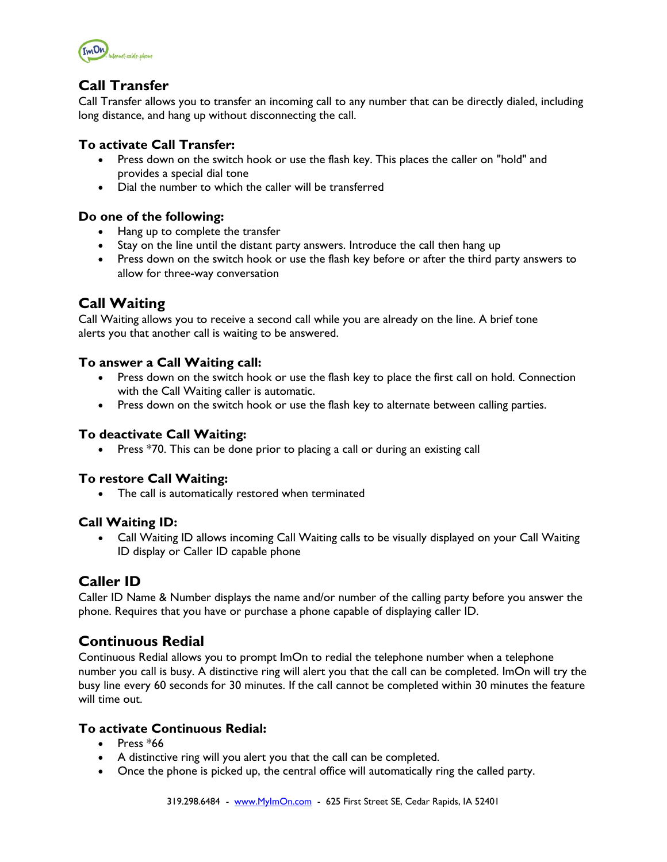

## **Call Transfer**

Call Transfer allows you to transfer an incoming call to any number that can be directly dialed, including long distance, and hang up without disconnecting the call.

### **To activate Call Transfer:**

- Press down on the switch hook or use the flash key. This places the caller on "hold" and provides a special dial tone
- Dial the number to which the caller will be transferred

#### **Do one of the following:**

- Hang up to complete the transfer
- Stay on the line until the distant party answers. Introduce the call then hang up
- Press down on the switch hook or use the flash key before or after the third party answers to allow for three-way conversation

## **Call Waiting**

Call Waiting allows you to receive a second call while you are already on the line. A brief tone alerts you that another call is waiting to be answered.

#### **To answer a Call Waiting call:**

- Press down on the switch hook or use the flash key to place the first call on hold. Connection with the Call Waiting caller is automatic.
- Press down on the switch hook or use the flash key to alternate between calling parties.

#### **To deactivate Call Waiting:**

• Press \*70. This can be done prior to placing a call or during an existing call

### **To restore Call Waiting:**

• The call is automatically restored when terminated

#### **Call Waiting ID:**

 Call Waiting ID allows incoming Call Waiting calls to be visually displayed on your Call Waiting ID display or Caller ID capable phone

## **Caller ID**

Caller ID Name & Number displays the name and/or number of the calling party before you answer the phone. Requires that you have or purchase a phone capable of displaying caller ID.

## **Continuous Redial**

Continuous Redial allows you to prompt ImOn to redial the telephone number when a telephone number you call is busy. A distinctive ring will alert you that the call can be completed. ImOn will try the busy line every 60 seconds for 30 minutes. If the call cannot be completed within 30 minutes the feature will time out.

### **To activate Continuous Redial:**

- $\bullet$  Press  $*66$
- A distinctive ring will you alert you that the call can be completed.
- Once the phone is picked up, the central office will automatically ring the called party.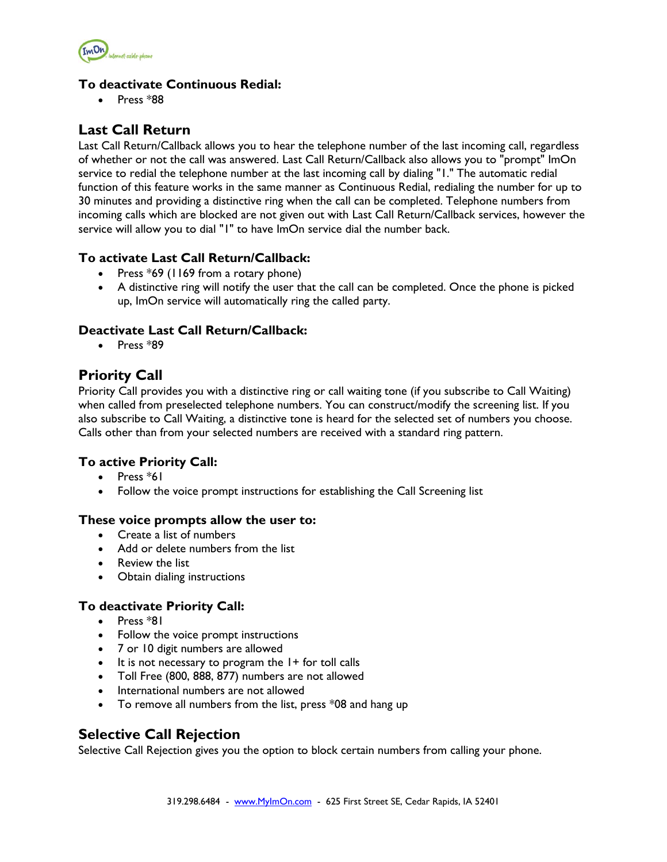

### **To deactivate Continuous Redial:**

 $\bullet$  Press  $*88$ 

## **Last Call Return**

Last Call Return/Callback allows you to hear the telephone number of the last incoming call, regardless of whether or not the call was answered. Last Call Return/Callback also allows you to "prompt" ImOn service to redial the telephone number at the last incoming call by dialing "1." The automatic redial function of this feature works in the same manner as Continuous Redial, redialing the number for up to 30 minutes and providing a distinctive ring when the call can be completed. Telephone numbers from incoming calls which are blocked are not given out with Last Call Return/Callback services, however the service will allow you to dial "1" to have ImOn service dial the number back.

### **To activate Last Call Return/Callback:**

- Press  $*69$  (1169 from a rotary phone)
- A distinctive ring will notify the user that the call can be completed. Once the phone is picked up, ImOn service will automatically ring the called party.

### **Deactivate Last Call Return/Callback:**

 $\bullet$  Press  $*89$ 

## **Priority Call**

Priority Call provides you with a distinctive ring or call waiting tone (if you subscribe to Call Waiting) when called from preselected telephone numbers. You can construct/modify the screening list. If you also subscribe to Call Waiting, a distinctive tone is heard for the selected set of numbers you choose. Calls other than from your selected numbers are received with a standard ring pattern.

### **To active Priority Call:**

- $\bullet$  Press  $*$ 61
- Follow the voice prompt instructions for establishing the Call Screening list

#### **These voice prompts allow the user to:**

- Create a list of numbers
- Add or delete numbers from the list
- Review the list
- Obtain dialing instructions

### **To deactivate Priority Call:**

- $\bullet$  Press  $*81$
- Follow the voice prompt instructions
- 7 or 10 digit numbers are allowed
- $\bullet$  It is not necessary to program the  $1+$  for toll calls
- Toll Free (800, 888, 877) numbers are not allowed
- International numbers are not allowed
- To remove all numbers from the list, press \*08 and hang up

## **Selective Call Rejection**

Selective Call Rejection gives you the option to block certain numbers from calling your phone.